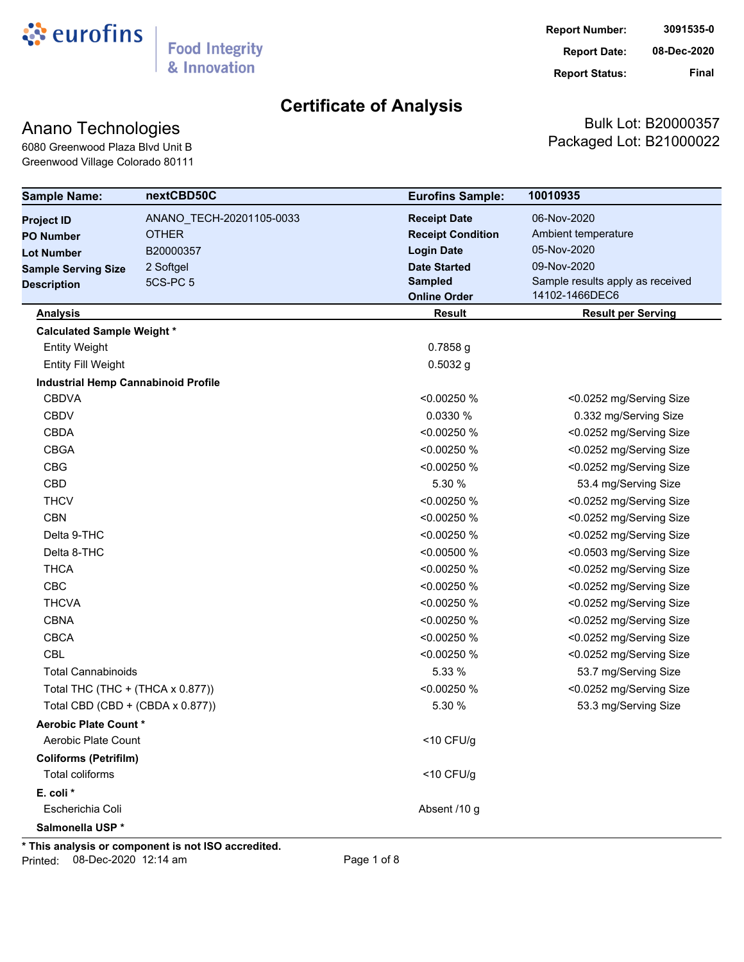

### Anano Technologies

6080 Greenwood Plaza Blvd Unit B Greenwood Village Colorado 80111

Bulk Lot: B20000357 Packaged Lot: B21000022

| <b>Sample Name:</b>                        | nextCBD50C               | <b>Eurofins Sample:</b>  | 10010935                         |  |  |
|--------------------------------------------|--------------------------|--------------------------|----------------------------------|--|--|
| <b>Project ID</b>                          | ANANO_TECH-20201105-0033 | <b>Receipt Date</b>      | 06-Nov-2020                      |  |  |
| <b>PO Number</b>                           | <b>OTHER</b>             | <b>Receipt Condition</b> | Ambient temperature              |  |  |
| <b>Lot Number</b>                          | B20000357                | <b>Login Date</b>        | 05-Nov-2020                      |  |  |
| <b>Sample Serving Size</b>                 | 2 Softgel                | <b>Date Started</b>      | 09-Nov-2020                      |  |  |
| <b>Description</b>                         | <b>5CS-PC 5</b>          | <b>Sampled</b>           | Sample results apply as received |  |  |
|                                            |                          | <b>Online Order</b>      | 14102-1466DEC6                   |  |  |
| <b>Analysis</b>                            |                          | <b>Result</b>            | <b>Result per Serving</b>        |  |  |
| <b>Calculated Sample Weight *</b>          |                          |                          |                                  |  |  |
| <b>Entity Weight</b>                       |                          | $0.7858$ g               |                                  |  |  |
| <b>Entity Fill Weight</b>                  |                          | $0.5032$ g               |                                  |  |  |
| <b>Industrial Hemp Cannabinoid Profile</b> |                          |                          |                                  |  |  |
| <b>CBDVA</b>                               |                          | <0.00250 %               | <0.0252 mg/Serving Size          |  |  |
| <b>CBDV</b>                                |                          | 0.0330 %                 | 0.332 mg/Serving Size            |  |  |
| <b>CBDA</b>                                |                          | < 0.00250 %              | <0.0252 mg/Serving Size          |  |  |
| <b>CBGA</b>                                |                          | < 0.00250 %              | <0.0252 mg/Serving Size          |  |  |
| <b>CBG</b>                                 |                          | <0.00250 %               | <0.0252 mg/Serving Size          |  |  |
| <b>CBD</b>                                 |                          | 5.30 %                   | 53.4 mg/Serving Size             |  |  |
| <b>THCV</b>                                |                          | < 0.00250 %              | <0.0252 mg/Serving Size          |  |  |
| <b>CBN</b>                                 |                          | <0.00250 %               | <0.0252 mg/Serving Size          |  |  |
| Delta 9-THC                                |                          | <0.00250 %               | <0.0252 mg/Serving Size          |  |  |
| Delta 8-THC                                |                          | < 0.00500 %              | <0.0503 mg/Serving Size          |  |  |
| <b>THCA</b>                                |                          | <0.00250 %               | <0.0252 mg/Serving Size          |  |  |
| <b>CBC</b>                                 |                          | < 0.00250 %              | <0.0252 mg/Serving Size          |  |  |
| <b>THCVA</b>                               |                          | < 0.00250 %              | <0.0252 mg/Serving Size          |  |  |
| <b>CBNA</b>                                |                          | <0.00250 %               | <0.0252 mg/Serving Size          |  |  |
| <b>CBCA</b>                                |                          | <0.00250 %               | <0.0252 mg/Serving Size          |  |  |
| <b>CBL</b>                                 |                          | <0.00250 %               | <0.0252 mg/Serving Size          |  |  |
| <b>Total Cannabinoids</b>                  |                          | 5.33 %                   | 53.7 mg/Serving Size             |  |  |
| Total THC (THC + (THCA x 0.877))           |                          | <0.00250 %               | <0.0252 mg/Serving Size          |  |  |
| Total CBD (CBD + (CBDA x 0.877))           |                          | 5.30 %                   | 53.3 mg/Serving Size             |  |  |
| <b>Aerobic Plate Count *</b>               |                          |                          |                                  |  |  |
| Aerobic Plate Count                        |                          | $<$ 10 CFU/g             |                                  |  |  |
| <b>Coliforms (Petrifilm)</b>               |                          |                          |                                  |  |  |
| Total coliforms                            |                          | $<$ 10 CFU/g             |                                  |  |  |
| E. coli *                                  |                          |                          |                                  |  |  |
| Escherichia Coli                           |                          | Absent /10 g             |                                  |  |  |
| Salmonella USP*                            |                          |                          |                                  |  |  |

**\* This analysis or component is not ISO accredited.**

Printed: 08-Dec-2020 12:14 am Page 1 of 8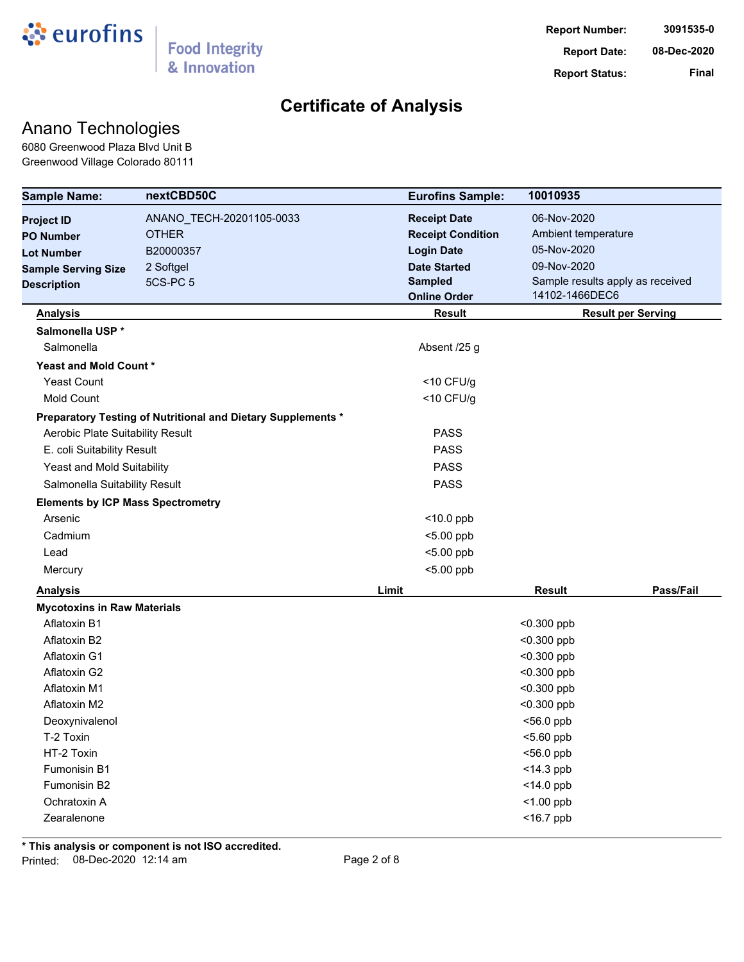

### Anano Technologies

6080 Greenwood Plaza Blvd Unit B Greenwood Village Colorado 80111

| <b>Sample Name:</b>                      | nextCBD50C                                                   | <b>Eurofins Sample:</b>  | 10010935                         |
|------------------------------------------|--------------------------------------------------------------|--------------------------|----------------------------------|
| <b>Project ID</b>                        | ANANO_TECH-20201105-0033                                     | <b>Receipt Date</b>      | 06-Nov-2020                      |
| <b>PO Number</b>                         | <b>OTHER</b>                                                 | <b>Receipt Condition</b> | Ambient temperature              |
| <b>Lot Number</b>                        | B20000357                                                    | <b>Login Date</b>        | 05-Nov-2020                      |
| <b>Sample Serving Size</b>               | 2 Softgel                                                    | <b>Date Started</b>      | 09-Nov-2020                      |
| <b>Description</b>                       | 5CS-PC 5                                                     | <b>Sampled</b>           | Sample results apply as received |
|                                          |                                                              | <b>Online Order</b>      | 14102-1466DEC6                   |
| <b>Analysis</b>                          |                                                              | <b>Result</b>            | <b>Result per Serving</b>        |
| Salmonella USP *                         |                                                              |                          |                                  |
| Salmonella                               |                                                              | Absent /25 g             |                                  |
| Yeast and Mold Count*                    |                                                              |                          |                                  |
| <b>Yeast Count</b>                       |                                                              | $<$ 10 CFU/g             |                                  |
| <b>Mold Count</b>                        |                                                              | $<$ 10 CFU/g             |                                  |
|                                          | Preparatory Testing of Nutritional and Dietary Supplements * |                          |                                  |
| Aerobic Plate Suitability Result         |                                                              | <b>PASS</b>              |                                  |
| E. coli Suitability Result               |                                                              | <b>PASS</b>              |                                  |
| Yeast and Mold Suitability               |                                                              | <b>PASS</b>              |                                  |
| Salmonella Suitability Result            |                                                              | <b>PASS</b>              |                                  |
| <b>Elements by ICP Mass Spectrometry</b> |                                                              |                          |                                  |
| Arsenic                                  |                                                              | $<$ 10.0 ppb             |                                  |
| Cadmium                                  |                                                              | $<$ 5.00 ppb             |                                  |
| Lead                                     |                                                              | $<$ 5.00 ppb             |                                  |
| Mercury                                  |                                                              | $<$ 5.00 ppb             |                                  |
| <b>Analysis</b>                          |                                                              | Limit                    | Pass/Fail<br>Result              |
| <b>Mycotoxins in Raw Materials</b>       |                                                              |                          |                                  |
| Aflatoxin B1                             |                                                              |                          | $<$ 0.300 ppb                    |
| Aflatoxin B2                             |                                                              |                          | $<$ 0.300 ppb                    |
| Aflatoxin G1                             |                                                              |                          | $<$ 0.300 ppb                    |
| Aflatoxin G2                             |                                                              |                          | $<$ 0.300 ppb                    |
| Aflatoxin M1                             |                                                              |                          | $<$ 0.300 ppb                    |
| Aflatoxin M2                             |                                                              |                          | $<$ 0.300 ppb                    |
| Deoxynivalenol                           |                                                              |                          | <56.0 ppb                        |
| T-2 Toxin                                |                                                              |                          | <5.60 ppb                        |
| HT-2 Toxin                               |                                                              |                          | <56.0 ppb                        |
| Fumonisin B1                             |                                                              |                          | $<$ 14.3 ppb                     |
| Fumonisin B2                             |                                                              |                          | <14.0 ppb                        |
| Ochratoxin A                             |                                                              |                          | $<$ 1.00 ppb                     |
| Zearalenone                              |                                                              |                          | $<$ 16.7 ppb                     |

**\* This analysis or component is not ISO accredited.** Printed: 08-Dec-2020 12:14 am Page 2 of 8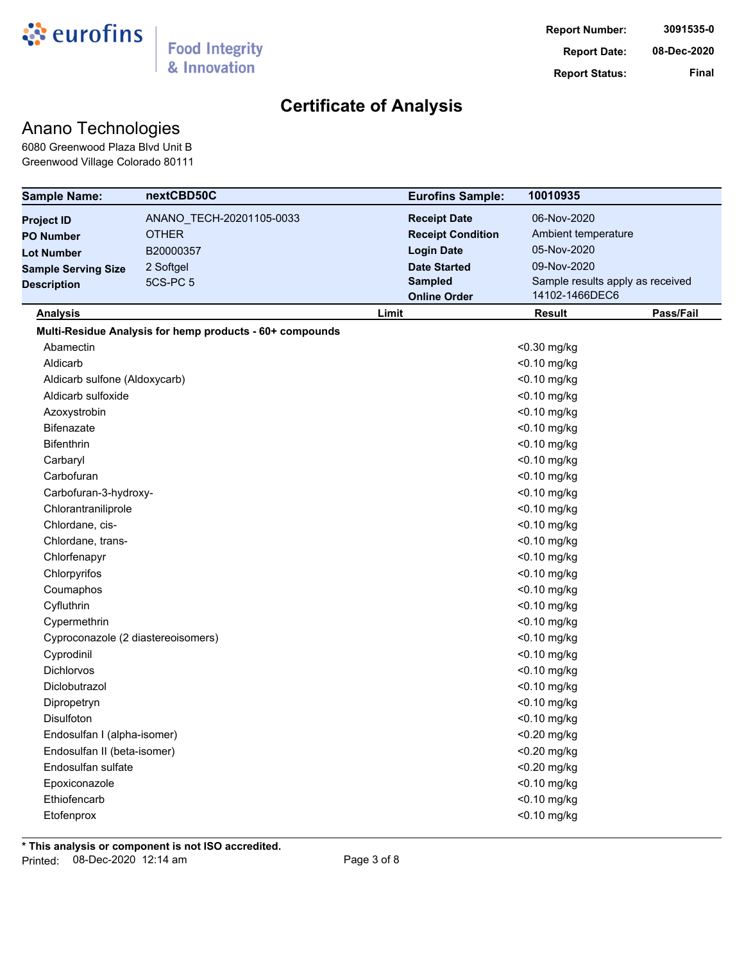

### Anano Technologies

6080 Greenwood Plaza Blvd Unit B Greenwood Village Colorado 80111

| <b>Sample Name:</b>                | nextCBD50C                                               |             | <b>Eurofins Sample:</b><br>10010935                |                     |           |  |
|------------------------------------|----------------------------------------------------------|-------------|----------------------------------------------------|---------------------|-----------|--|
| <b>Project ID</b>                  | ANANO_TECH-20201105-0033                                 |             | <b>Receipt Date</b>                                | 06-Nov-2020         |           |  |
| <b>PO Number</b>                   | <b>OTHER</b>                                             |             | <b>Receipt Condition</b>                           | Ambient temperature |           |  |
| <b>Lot Number</b>                  | B20000357                                                |             | <b>Login Date</b>                                  | 05-Nov-2020         |           |  |
| <b>Sample Serving Size</b>         | 2 Softgel                                                |             | <b>Date Started</b>                                | 09-Nov-2020         |           |  |
| <b>Description</b>                 | <b>5CS-PC 5</b>                                          |             | Sample results apply as received<br><b>Sampled</b> |                     |           |  |
|                                    |                                                          |             | 14102-1466DEC6<br><b>Online Order</b>              |                     |           |  |
| <b>Analysis</b>                    |                                                          | Limit       |                                                    | <b>Result</b>       | Pass/Fail |  |
|                                    | Multi-Residue Analysis for hemp products - 60+ compounds |             |                                                    |                     |           |  |
| Abamectin                          |                                                          |             |                                                    | $<$ 0.30 mg/kg      |           |  |
| Aldicarb                           |                                                          |             | $<$ 0.10 mg/kg                                     |                     |           |  |
| Aldicarb sulfone (Aldoxycarb)      |                                                          |             |                                                    | <0.10 mg/kg         |           |  |
| Aldicarb sulfoxide                 |                                                          |             |                                                    | <0.10 mg/kg         |           |  |
| Azoxystrobin                       |                                                          |             |                                                    | <0.10 mg/kg         |           |  |
| <b>Bifenazate</b>                  |                                                          |             |                                                    | <0.10 mg/kg         |           |  |
| <b>Bifenthrin</b>                  |                                                          |             |                                                    | <0.10 mg/kg         |           |  |
| Carbaryl                           |                                                          |             |                                                    | <0.10 mg/kg         |           |  |
| Carbofuran                         |                                                          |             |                                                    | <0.10 mg/kg         |           |  |
| Carbofuran-3-hydroxy-              |                                                          |             |                                                    | <0.10 mg/kg         |           |  |
| Chlorantraniliprole                |                                                          |             |                                                    | <0.10 mg/kg         |           |  |
| Chlordane, cis-                    |                                                          |             |                                                    | <0.10 mg/kg         |           |  |
| Chlordane, trans-                  |                                                          |             |                                                    | <0.10 mg/kg         |           |  |
| Chlorfenapyr                       |                                                          |             |                                                    | <0.10 mg/kg         |           |  |
| Chlorpyrifos                       |                                                          |             |                                                    | <0.10 mg/kg         |           |  |
| Coumaphos                          |                                                          |             |                                                    | <0.10 mg/kg         |           |  |
| Cyfluthrin                         |                                                          |             |                                                    | <0.10 mg/kg         |           |  |
| Cypermethrin                       |                                                          |             |                                                    | <0.10 mg/kg         |           |  |
| Cyproconazole (2 diastereoisomers) |                                                          |             |                                                    | <0.10 mg/kg         |           |  |
| Cyprodinil                         |                                                          |             |                                                    | <0.10 mg/kg         |           |  |
| Dichlorvos                         |                                                          |             |                                                    | <0.10 mg/kg         |           |  |
| Diclobutrazol                      |                                                          |             |                                                    | <0.10 mg/kg         |           |  |
| Dipropetryn                        |                                                          |             |                                                    | <0.10 mg/kg         |           |  |
| Disulfoton                         |                                                          |             |                                                    | <0.10 mg/kg         |           |  |
| Endosulfan I (alpha-isomer)        |                                                          |             |                                                    | <0.20 mg/kg         |           |  |
| Endosulfan II (beta-isomer)        |                                                          |             |                                                    | <0.20 mg/kg         |           |  |
| Endosulfan sulfate                 |                                                          |             |                                                    | <0.20 mg/kg         |           |  |
| Epoxiconazole                      |                                                          |             |                                                    | $<$ 0.10 mg/kg      |           |  |
| Ethiofencarb                       |                                                          |             |                                                    | <0.10 mg/kg         |           |  |
| Etofenprox                         |                                                          | <0.10 mg/kg |                                                    |                     |           |  |
|                                    |                                                          |             |                                                    |                     |           |  |

**\* This analysis or component is not ISO accredited.** Printed: 08-Dec-2020 12:14 am Page 3 of 8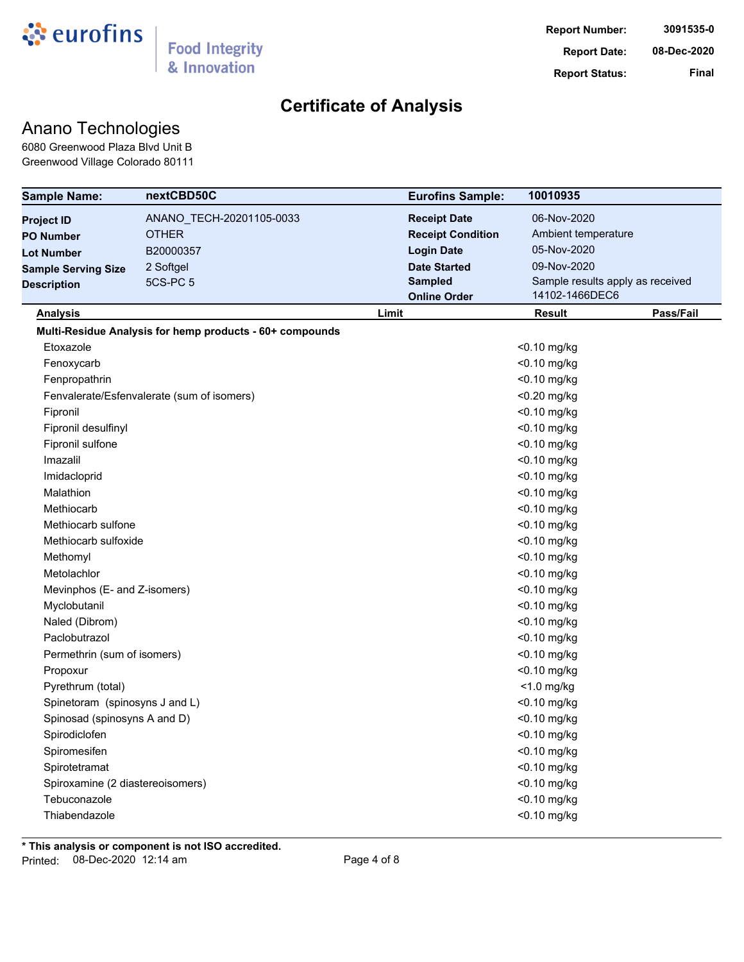

### Anano Technologies

6080 Greenwood Plaza Blvd Unit B Greenwood Village Colorado 80111

| <b>Sample Name:</b>                        | nextCBD50C                                               |                                                    | <b>Eurofins Sample:</b><br>10010935 |                     |           |  |
|--------------------------------------------|----------------------------------------------------------|----------------------------------------------------|-------------------------------------|---------------------|-----------|--|
| <b>Project ID</b>                          | ANANO_TECH-20201105-0033                                 |                                                    | <b>Receipt Date</b>                 | 06-Nov-2020         |           |  |
| <b>PO Number</b>                           | <b>OTHER</b>                                             |                                                    | <b>Receipt Condition</b>            | Ambient temperature |           |  |
| <b>Lot Number</b>                          | B20000357                                                |                                                    | <b>Login Date</b>                   | 05-Nov-2020         |           |  |
| <b>Sample Serving Size</b>                 | 2 Softgel                                                |                                                    | <b>Date Started</b>                 | 09-Nov-2020         |           |  |
| <b>Description</b>                         | 5CS-PC <sub>5</sub>                                      | Sample results apply as received<br><b>Sampled</b> |                                     |                     |           |  |
|                                            |                                                          | 14102-1466DEC6<br><b>Online Order</b>              |                                     |                     |           |  |
| <b>Analysis</b>                            |                                                          | Limit                                              |                                     | <b>Result</b>       | Pass/Fail |  |
|                                            | Multi-Residue Analysis for hemp products - 60+ compounds |                                                    |                                     |                     |           |  |
| Etoxazole                                  |                                                          |                                                    |                                     | $<$ 0.10 mg/kg      |           |  |
| Fenoxycarb                                 |                                                          |                                                    | <0.10 mg/kg                         |                     |           |  |
| Fenpropathrin                              |                                                          |                                                    |                                     | <0.10 mg/kg         |           |  |
| Fenvalerate/Esfenvalerate (sum of isomers) |                                                          |                                                    |                                     | <0.20 mg/kg         |           |  |
| Fipronil                                   |                                                          |                                                    |                                     | <0.10 mg/kg         |           |  |
| Fipronil desulfinyl                        |                                                          |                                                    |                                     | <0.10 mg/kg         |           |  |
| Fipronil sulfone                           |                                                          |                                                    |                                     | <0.10 mg/kg         |           |  |
| Imazalil                                   |                                                          |                                                    |                                     | <0.10 mg/kg         |           |  |
| Imidacloprid                               |                                                          |                                                    |                                     | <0.10 mg/kg         |           |  |
| Malathion                                  |                                                          |                                                    |                                     | <0.10 mg/kg         |           |  |
| Methiocarb                                 |                                                          |                                                    |                                     | <0.10 mg/kg         |           |  |
| Methiocarb sulfone                         |                                                          |                                                    |                                     | <0.10 mg/kg         |           |  |
| Methiocarb sulfoxide                       |                                                          |                                                    |                                     | <0.10 mg/kg         |           |  |
| Methomyl                                   |                                                          |                                                    |                                     | <0.10 mg/kg         |           |  |
| Metolachlor                                |                                                          |                                                    | <0.10 mg/kg                         |                     |           |  |
| Mevinphos (E- and Z-isomers)               |                                                          |                                                    | <0.10 mg/kg                         |                     |           |  |
| Myclobutanil                               |                                                          |                                                    |                                     | <0.10 mg/kg         |           |  |
| Naled (Dibrom)                             |                                                          |                                                    |                                     | <0.10 mg/kg         |           |  |
| Paclobutrazol                              |                                                          |                                                    |                                     | <0.10 mg/kg         |           |  |
| Permethrin (sum of isomers)                |                                                          |                                                    |                                     | <0.10 mg/kg         |           |  |
| Propoxur                                   |                                                          |                                                    |                                     | <0.10 mg/kg         |           |  |
| Pyrethrum (total)                          |                                                          |                                                    |                                     | $<$ 1.0 mg/kg       |           |  |
| Spinetoram (spinosyns J and L)             |                                                          |                                                    |                                     | <0.10 mg/kg         |           |  |
| Spinosad (spinosyns A and D)               |                                                          |                                                    |                                     | $<$ 0.10 mg/kg      |           |  |
| Spirodiclofen                              |                                                          |                                                    |                                     | <0.10 mg/kg         |           |  |
| Spiromesifen                               |                                                          |                                                    |                                     | <0.10 mg/kg         |           |  |
| Spirotetramat                              |                                                          |                                                    |                                     | <0.10 mg/kg         |           |  |
| Spiroxamine (2 diastereoisomers)           |                                                          |                                                    |                                     | <0.10 mg/kg         |           |  |
| Tebuconazole                               |                                                          |                                                    |                                     | <0.10 mg/kg         |           |  |
| Thiabendazole                              |                                                          |                                                    |                                     | <0.10 mg/kg         |           |  |
|                                            |                                                          |                                                    |                                     |                     |           |  |

**\* This analysis or component is not ISO accredited.** Printed: 08-Dec-2020 12:14 am Page 4 of 8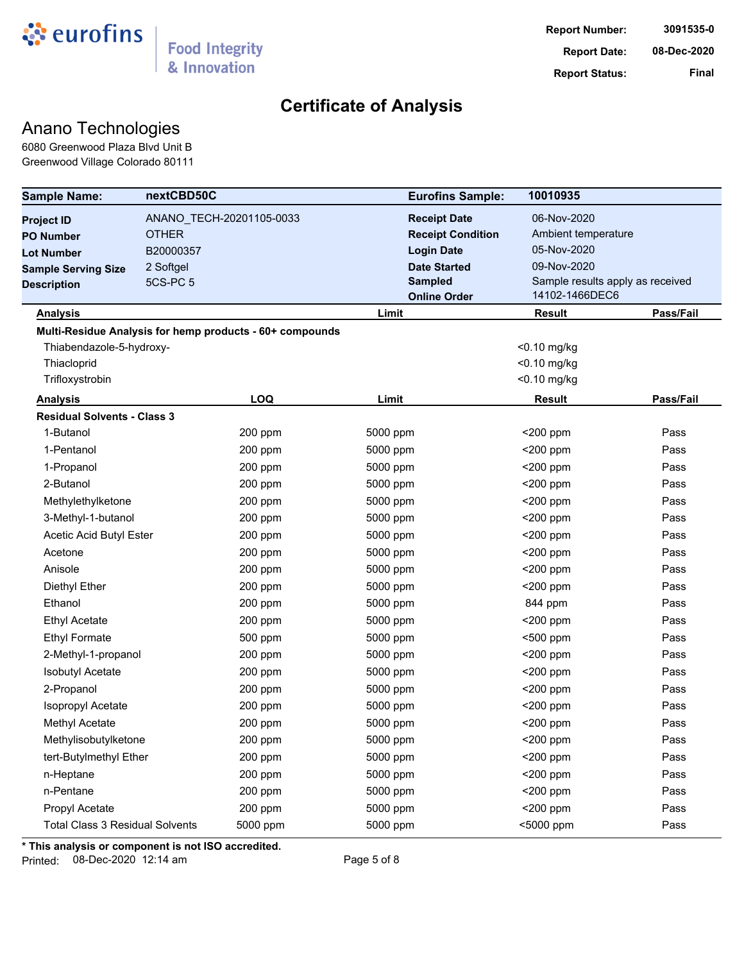

### Anano Technologies

6080 Greenwood Plaza Blvd Unit B Greenwood Village Colorado 80111

| <b>Sample Name:</b>                    | nextCBD50C   |                                                          | <b>Eurofins Sample:</b>  | 10010935      |                                  |  |
|----------------------------------------|--------------|----------------------------------------------------------|--------------------------|---------------|----------------------------------|--|
| <b>Project ID</b>                      |              | ANANO_TECH-20201105-0033                                 | <b>Receipt Date</b>      | 06-Nov-2020   |                                  |  |
| <b>PO Number</b>                       | <b>OTHER</b> |                                                          | <b>Receipt Condition</b> |               | Ambient temperature              |  |
| <b>Lot Number</b>                      | B20000357    |                                                          | <b>Login Date</b>        | 05-Nov-2020   |                                  |  |
| <b>Sample Serving Size</b>             | 2 Softgel    |                                                          | <b>Date Started</b>      | 09-Nov-2020   |                                  |  |
| <b>Description</b>                     | 5CS-PC 5     | <b>Sampled</b>                                           |                          |               | Sample results apply as received |  |
|                                        |              |                                                          | <b>Online Order</b>      |               | 14102-1466DEC6                   |  |
| <b>Analysis</b>                        |              |                                                          | Limit                    | <b>Result</b> | Pass/Fail                        |  |
|                                        |              | Multi-Residue Analysis for hemp products - 60+ compounds |                          |               |                                  |  |
| Thiabendazole-5-hydroxy-               |              |                                                          |                          | <0.10 mg/kg   |                                  |  |
| Thiacloprid                            |              |                                                          |                          | <0.10 mg/kg   |                                  |  |
| Trifloxystrobin                        |              |                                                          |                          | <0.10 mg/kg   |                                  |  |
| <b>Analysis</b>                        |              | <b>LOQ</b>                                               | Limit                    | <b>Result</b> | Pass/Fail                        |  |
| <b>Residual Solvents - Class 3</b>     |              |                                                          |                          |               |                                  |  |
| 1-Butanol                              |              | 200 ppm                                                  | 5000 ppm                 | $<$ 200 ppm   | Pass                             |  |
| 1-Pentanol                             |              | 200 ppm                                                  | 5000 ppm                 | $<$ 200 ppm   | Pass                             |  |
| 1-Propanol                             |              | 200 ppm                                                  | 5000 ppm                 | $<$ 200 ppm   | Pass                             |  |
| 2-Butanol                              |              | 200 ppm                                                  | 5000 ppm                 | $<$ 200 ppm   | Pass                             |  |
| Methylethylketone                      |              | 200 ppm                                                  | 5000 ppm                 | $<$ 200 ppm   | Pass                             |  |
| 3-Methyl-1-butanol                     |              | 200 ppm                                                  | 5000 ppm                 | <200 ppm      | Pass                             |  |
| Acetic Acid Butyl Ester                |              | 200 ppm                                                  | 5000 ppm                 | <200 ppm      | Pass                             |  |
| Acetone                                |              | 200 ppm                                                  | 5000 ppm                 | $<$ 200 ppm   | Pass                             |  |
| Anisole                                |              | 200 ppm                                                  | 5000 ppm                 | $<$ 200 ppm   | Pass                             |  |
| Diethyl Ether                          |              | 200 ppm                                                  | 5000 ppm                 | <200 ppm      | Pass                             |  |
| Ethanol                                |              | 200 ppm                                                  | 5000 ppm                 | 844 ppm       | Pass                             |  |
| <b>Ethyl Acetate</b>                   |              | 200 ppm                                                  | 5000 ppm                 | $<$ 200 ppm   | Pass                             |  |
| <b>Ethyl Formate</b>                   |              | 500 ppm                                                  | 5000 ppm                 | <500 ppm      | Pass                             |  |
| 2-Methyl-1-propanol                    |              | 200 ppm                                                  | 5000 ppm                 | $<$ 200 ppm   | Pass                             |  |
| <b>Isobutyl Acetate</b>                |              | 200 ppm                                                  | 5000 ppm                 | $<$ 200 ppm   | Pass                             |  |
| 2-Propanol                             |              | 200 ppm                                                  | 5000 ppm                 | <200 ppm      | Pass                             |  |
| Isopropyl Acetate                      |              | 200 ppm                                                  | 5000 ppm                 | $<$ 200 ppm   | Pass                             |  |
| Methyl Acetate                         |              | 200 ppm                                                  | 5000 ppm                 | <200 ppm      | Pass                             |  |
| Methylisobutylketone                   |              | 200 ppm                                                  | 5000 ppm                 | $<$ 200 ppm   | Pass                             |  |
| tert-Butylmethyl Ether                 |              | 200 ppm                                                  | 5000 ppm                 | <200 ppm      | Pass                             |  |
| n-Heptane                              |              | 200 ppm                                                  | 5000 ppm                 | <200 ppm      | Pass                             |  |
| n-Pentane                              |              | 200 ppm                                                  | 5000 ppm                 | <200 ppm      | Pass                             |  |
| Propyl Acetate                         |              | 200 ppm                                                  | 5000 ppm                 | <200 ppm      | Pass                             |  |
| <b>Total Class 3 Residual Solvents</b> |              | 5000 ppm                                                 | 5000 ppm                 | <5000 ppm     | Pass                             |  |

**\* This analysis or component is not ISO accredited.**

Printed: 08-Dec-2020 12:14 am Page 5 of 8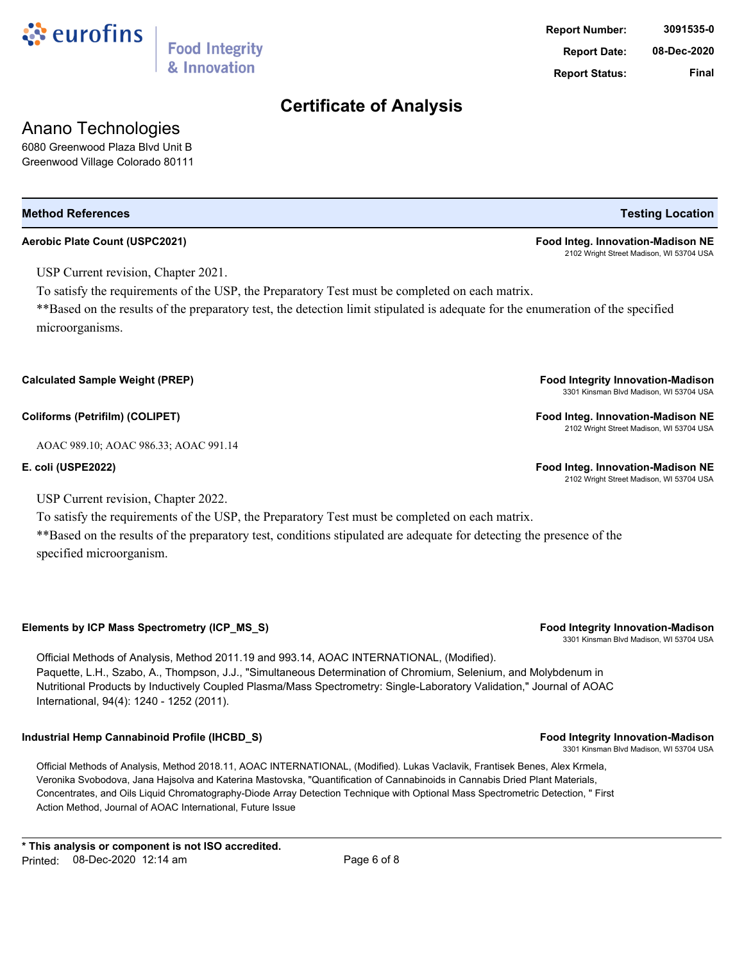

# **Aerobic Plate Count (USPC2021) Food Integ. Innovation-Madison NE**

USP Current revision, Chapter 2021.

To satisfy the requirements of the USP, the Preparatory Test must be completed on each matrix.

\*\*Based on the results of the preparatory test, the detection limit stipulated is adequate for the enumeration of the specified microorganisms.

**Calculated Sample Weight (PREP) Food Integrity Innovation-Madison**

**Coliforms (Petrifilm) (COLIPET) Food Integ. Innovation-Madison NE**

AOAC 989.10; AOAC 986.33; AOAC 991.14

**E. coli (USPE2022) Food Integ. Innovation-Madison NE**

USP Current revision, Chapter 2022.

To satisfy the requirements of the USP, the Preparatory Test must be completed on each matrix. \*\*Based on the results of the preparatory test, conditions stipulated are adequate for detecting the presence of the specified microorganism.

**Elements by ICP Mass Spectrometry (ICP\_MS\_S) Food Integrity Innovation-Madison**

Official Methods of Analysis, Method 2011.19 and 993.14, AOAC INTERNATIONAL, (Modified). Paquette, L.H., Szabo, A., Thompson, J.J., "Simultaneous Determination of Chromium, Selenium, and Molybdenum in Nutritional Products by Inductively Coupled Plasma/Mass Spectrometry: Single-Laboratory Validation," Journal of AOAC International, 94(4): 1240 - 1252 (2011).

### **Industrial Hemp Cannabinoid Profile (IHCBD\_S) Food Integrity Innovation-Madison**

Official Methods of Analysis, Method 2018.11, AOAC INTERNATIONAL, (Modified). Lukas Vaclavik, Frantisek Benes, Alex Krmela, Veronika Svobodova, Jana Hajsolva and Katerina Mastovska, "Quantification of Cannabinoids in Cannabis Dried Plant Materials, Concentrates, and Oils Liquid Chromatography-Diode Array Detection Technique with Optional Mass Spectrometric Detection, " First Action Method, Journal of AOAC International, Future Issue

# **Certificate of Analysis**

# **Report Date: 08-Dec-2020 Report Status: Final**

2102 Wright Street Madison, WI 53704 USA

3301 Kinsman Blvd Madison, WI 53704 USA

2102 Wright Street Madison, WI 53704 USA

2102 Wright Street Madison, WI 53704 USA

3301 Kinsman Blvd Madison, WI 53704 USA

3301 Kinsman Blvd Madison, WI 53704 USA

**Report Number: 3091535-0**

# ं eurofins

Anano Technologies 6080 Greenwood Plaza Blvd Unit B Greenwood Village Colorado 80111

### **Food Integrity** & Innovation

**Method References Testing Location**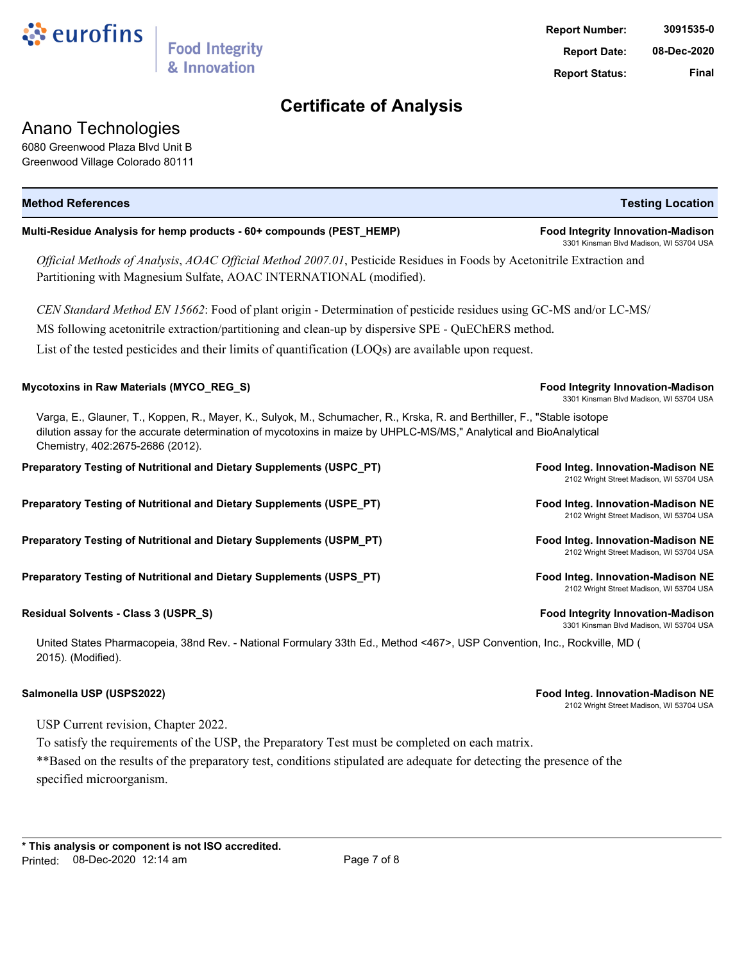

### Anano Technologies

6080 Greenwood Plaza Blvd Unit B Greenwood Village Colorado 80111

| <b>Method References</b>                                                                                                                                                                                                                                                           | <b>Testing Location</b>                                                             |
|------------------------------------------------------------------------------------------------------------------------------------------------------------------------------------------------------------------------------------------------------------------------------------|-------------------------------------------------------------------------------------|
| Multi-Residue Analysis for hemp products - 60+ compounds (PEST_HEMP)                                                                                                                                                                                                               | <b>Food Integrity Innovation-Madison</b><br>3301 Kinsman Blvd Madison, WI 53704 USA |
| Official Methods of Analysis, AOAC Official Method 2007.01, Pesticide Residues in Foods by Acetonitrile Extraction and<br>Partitioning with Magnesium Sulfate, AOAC INTERNATIONAL (modified).                                                                                      |                                                                                     |
| CEN Standard Method EN 15662: Food of plant origin - Determination of pesticide residues using GC-MS and/or LC-MS/                                                                                                                                                                 |                                                                                     |
| MS following acetonitrile extraction/partitioning and clean-up by dispersive SPE - QuEChERS method.                                                                                                                                                                                |                                                                                     |
| List of the tested pesticides and their limits of quantification (LOQs) are available upon request.                                                                                                                                                                                |                                                                                     |
| Mycotoxins in Raw Materials (MYCO_REG_S)                                                                                                                                                                                                                                           | <b>Food Integrity Innovation-Madison</b><br>3301 Kinsman Blvd Madison, WI 53704 USA |
| Varga, E., Glauner, T., Koppen, R., Mayer, K., Sulyok, M., Schumacher, R., Krska, R. and Berthiller, F., "Stable isotope<br>dilution assay for the accurate determination of mycotoxins in maize by UHPLC-MS/MS," Analytical and BioAnalytical<br>Chemistry, 402:2675-2686 (2012). |                                                                                     |
| Preparatory Testing of Nutritional and Dietary Supplements (USPC_PT)                                                                                                                                                                                                               | Food Integ. Innovation-Madison NE<br>2102 Wright Street Madison, WI 53704 USA       |
| Preparatory Testing of Nutritional and Dietary Supplements (USPE_PT)                                                                                                                                                                                                               | Food Integ. Innovation-Madison NE<br>2102 Wright Street Madison, WI 53704 USA       |
| Preparatory Testing of Nutritional and Dietary Supplements (USPM_PT)                                                                                                                                                                                                               | Food Integ. Innovation-Madison NE<br>2102 Wright Street Madison, WI 53704 USA       |
| Preparatory Testing of Nutritional and Dietary Supplements (USPS_PT)                                                                                                                                                                                                               | Food Integ. Innovation-Madison NE<br>2102 Wright Street Madison, WI 53704 USA       |
| Residual Solvents - Class 3 (USPR_S)                                                                                                                                                                                                                                               | <b>Food Integrity Innovation-Madison</b><br>3301 Kinsman Blvd Madison, WI 53704 USA |
| <u> Linited States Pharmaconeia, 38nd Rev. - National Formulary 33th Ed. Method &lt;467&gt;. LISP Convention, Inc. Rockville, MD (</u>                                                                                                                                             |                                                                                     |

United States Pharmacopeia, 38nd Rev. - National Formulary 33th Ed., Method <467>, USP Convention, Inc., Rockville, MD ( 2015). (Modified).

**Salmonella USP (USPS2022) Food Integ. Innovation-Madison NE**

2102 Wright Street Madison, WI 53704 USA

USP Current revision, Chapter 2022.

To satisfy the requirements of the USP, the Preparatory Test must be completed on each matrix.

\*\*Based on the results of the preparatory test, conditions stipulated are adequate for detecting the presence of the specified microorganism.